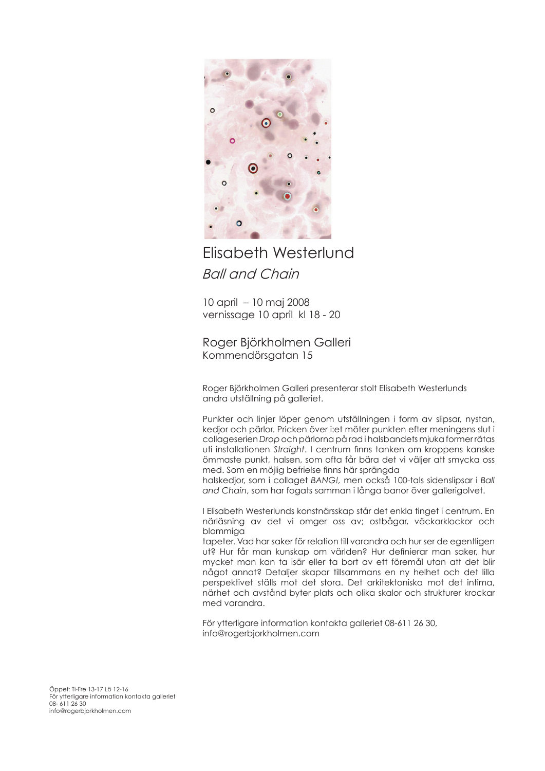

## Elisabeth Westerlund *Ball and Chain*

10 april – 10 maj 2008 vernissage 10 april kl 18 - 20

Roger Björkholmen Galleri Kommendörsgatan 15

Roger Björkholmen Galleri presenterar stolt Elisabeth Westerlunds andra utställning på galleriet.

Punkter och linjer löper genom utställningen i form av slipsar, nystan, kedjor och pärlor. Pricken över i:et möter punkten efter meningens slut i collageserien *Drop* och pärlorna på rad i halsbandets mjuka former rätas uti installationen *Straight*. I centrum finns tanken om kroppens kanske ömmaste punkt, halsen, som ofta får bära det vi väljer att smycka oss med. Som en möjlig befrielse finns här sprängda

halskedjor, som i collaget *BANG!,* men också 100-tals sidenslipsar i *Ball and Chain*, som har fogats samman i långa banor över gallerigolvet.

I Elisabeth Westerlunds konstnärsskap står det enkla tinget i centrum. En närläsning av det vi omger oss av; ostbågar, väckarklockor och blommiga

tapeter. Vad har saker för relation till varandra och hur ser de egentligen ut? Hur får man kunskap om världen? Hur definierar man saker, hur mycket man kan ta isär eller ta bort av ett föremål utan att det blir något annat? Detaljer skapar tillsammans en ny helhet och det lilla perspektivet ställs mot det stora. Det arkitektoniska mot det intima, närhet och avstånd byter plats och olika skalor och strukturer krockar med varandra.

För ytterligare information kontakta galleriet 08-611 26 30, info@rogerbjorkholmen.com